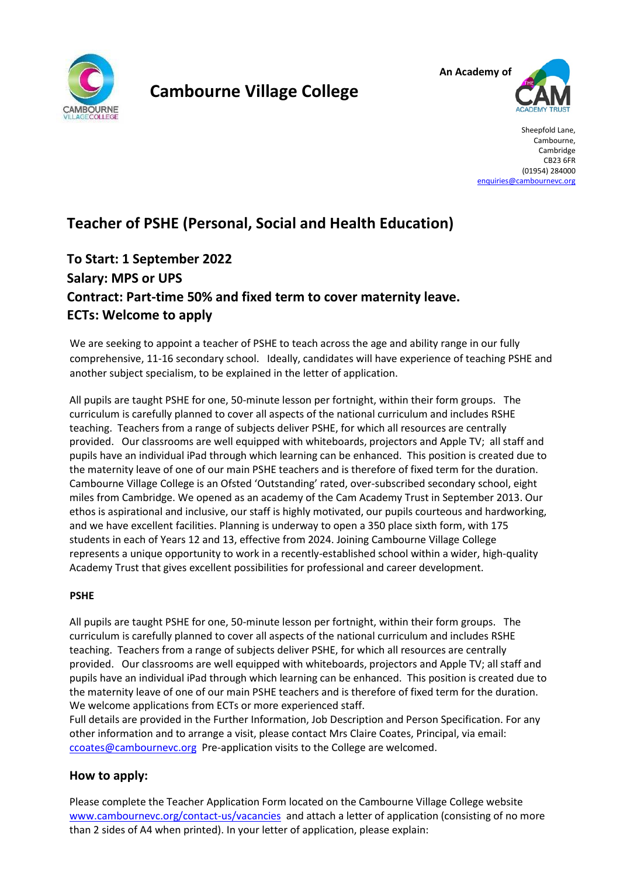

# **Cambourne Village College**



Sheepfold Lane, Cambourne, Cambridge CB23 6FR (01954) 284000 [enquiries@cambournevc.org](mailto:enquiries@cambournevc.org)

# **Teacher of PSHE (Personal, Social and Health Education)**

# **To Start: 1 September 2022 Salary: MPS or UPS Contract: Part-time 50% and fixed term to cover maternity leave. ECTs: Welcome to apply**

We are seeking to appoint a teacher of PSHE to teach across the age and ability range in our fully comprehensive, 11-16 secondary school. Ideally, candidates will have experience of teaching PSHE and another subject specialism, to be explained in the letter of application.

All pupils are taught PSHE for one, 50-minute lesson per fortnight, within their form groups. The curriculum is carefully planned to cover all aspects of the national curriculum and includes RSHE teaching. Teachers from a range of subjects deliver PSHE, for which all resources are centrally provided. Our classrooms are well equipped with whiteboards, projectors and Apple TV; all staff and pupils have an individual iPad through which learning can be enhanced. This position is created due to the maternity leave of one of our main PSHE teachers and is therefore of fixed term for the duration. Cambourne Village College is an Ofsted 'Outstanding' rated, over-subscribed secondary school, eight miles from Cambridge. We opened as an academy of the Cam Academy Trust in September 2013. Our ethos is aspirational and inclusive, our staff is highly motivated, our pupils courteous and hardworking, and we have excellent facilities. Planning is underway to open a 350 place sixth form, with 175 students in each of Years 12 and 13, effective from 2024. Joining Cambourne Village College represents a unique opportunity to work in a recently-established school within a wider, high-quality Academy Trust that gives excellent possibilities for professional and career development.

# **PSHE**

All pupils are taught PSHE for one, 50-minute lesson per fortnight, within their form groups. The curriculum is carefully planned to cover all aspects of the national curriculum and includes RSHE teaching. Teachers from a range of subjects deliver PSHE, for which all resources are centrally provided. Our classrooms are well equipped with whiteboards, projectors and Apple TV; all staff and pupils have an individual iPad through which learning can be enhanced. This position is created due to the maternity leave of one of our main PSHE teachers and is therefore of fixed term for the duration. We welcome applications from ECTs or more experienced staff.

Full details are provided in the Further Information, Job Description and Person Specification. For any other information and to arrange a visit, please contact Mrs Claire Coates, Principal, via email: ccoates@cambournevc.org Pre-application visits to the College are welcomed.

# **How to apply:**

Please complete the Teacher Application Form located on the Cambourne Village College website [www.cambournevc.org/contact-us/vacancies](http://www.cambournevc.org/contact-us/vacancies) and attach a letter of application (consisting of no more than 2 sides of A4 when printed). In your letter of application, please explain: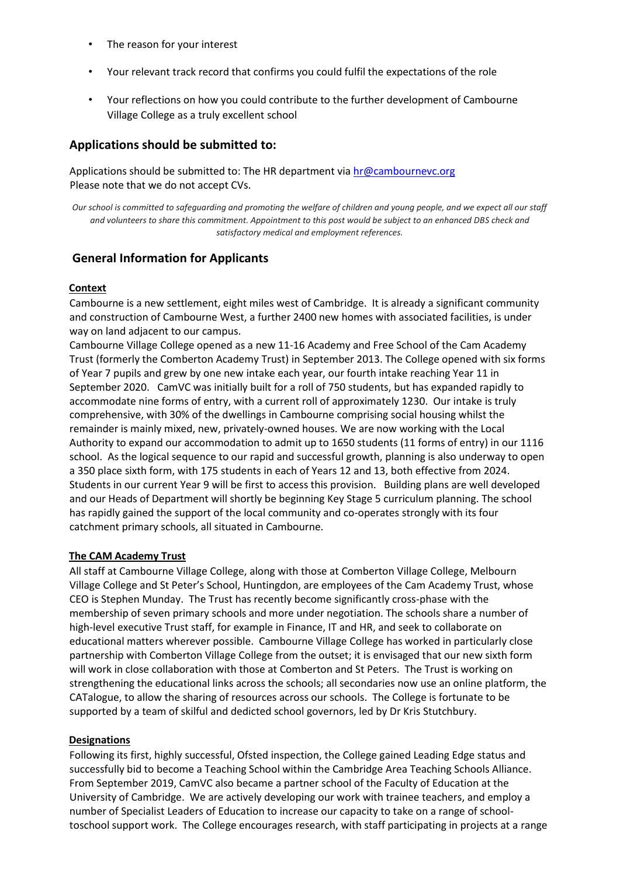- The reason for your interest
- Your relevant track record that confirms you could fulfil the expectations of the role
- Your reflections on how you could contribute to the further development of Cambourne Village College as a truly excellent school

#### **Applications should be submitted to:**

Applications should be submitted to: The HR department via hr@cambournevc.org Please note that we do not accept CVs.

*Our school is committed to safeguarding and promoting the welfare of children and young people, and we expect all our staff and volunteers to share this commitment. Appointment to this post would be subject to an enhanced DBS check and satisfactory medical and employment references.*

### **General Information for Applicants**

#### **Context**

Cambourne is a new settlement, eight miles west of Cambridge. It is already a significant community and construction of Cambourne West, a further 2400 new homes with associated facilities, is under way on land adjacent to our campus.

Cambourne Village College opened as a new 11-16 Academy and Free School of the Cam Academy Trust (formerly the Comberton Academy Trust) in September 2013. The College opened with six forms of Year 7 pupils and grew by one new intake each year, our fourth intake reaching Year 11 in September 2020. CamVC was initially built for a roll of 750 students, but has expanded rapidly to accommodate nine forms of entry, with a current roll of approximately 1230. Our intake is truly comprehensive, with 30% of the dwellings in Cambourne comprising social housing whilst the remainder is mainly mixed, new, privately-owned houses. We are now working with the Local Authority to expand our accommodation to admit up to 1650 students (11 forms of entry) in our 1116 school. As the logical sequence to our rapid and successful growth, planning is also underway to open a 350 place sixth form, with 175 students in each of Years 12 and 13, both effective from 2024. Students in our current Year 9 will be first to access this provision. Building plans are well developed and our Heads of Department will shortly be beginning Key Stage 5 curriculum planning. The school has rapidly gained the support of the local community and co-operates strongly with its four catchment primary schools, all situated in Cambourne.

#### **The CAM Academy Trust**

All staff at Cambourne Village College, along with those at Comberton Village College, Melbourn Village College and St Peter's School, Huntingdon, are employees of the Cam Academy Trust, whose CEO is Stephen Munday. The Trust has recently become significantly cross-phase with the membership of seven primary schools and more under negotiation. The schools share a number of high-level executive Trust staff, for example in Finance, IT and HR, and seek to collaborate on educational matters wherever possible. Cambourne Village College has worked in particularly close partnership with Comberton Village College from the outset; it is envisaged that our new sixth form will work in close collaboration with those at Comberton and St Peters. The Trust is working on strengthening the educational links across the schools; all secondaries now use an online platform, the CATalogue, to allow the sharing of resources across our schools. The College is fortunate to be supported by a team of skilful and dedicted school governors, led by Dr Kris Stutchbury.

#### **Designations**

Following its first, highly successful, Ofsted inspection, the College gained Leading Edge status and successfully bid to become a Teaching School within the Cambridge Area Teaching Schools Alliance. From September 2019, CamVC also became a partner school of the Faculty of Education at the University of Cambridge. We are actively developing our work with trainee teachers, and employ a number of Specialist Leaders of Education to increase our capacity to take on a range of schooltoschool support work. The College encourages research, with staff participating in projects at a range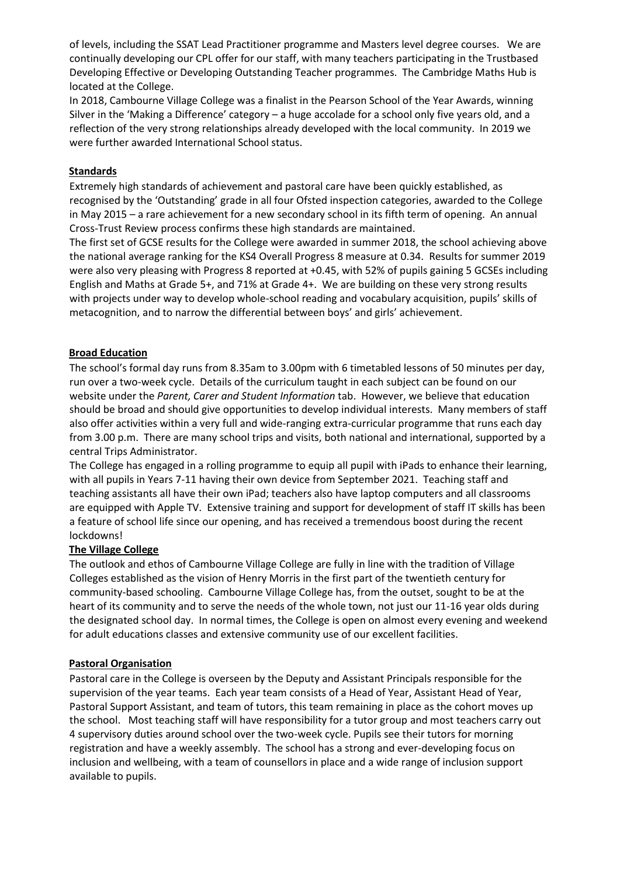of levels, including the SSAT Lead Practitioner programme and Masters level degree courses. We are continually developing our CPL offer for our staff, with many teachers participating in the Trustbased Developing Effective or Developing Outstanding Teacher programmes. The Cambridge Maths Hub is located at the College.

In 2018, Cambourne Village College was a finalist in the Pearson School of the Year Awards, winning Silver in the 'Making a Difference' category – a huge accolade for a school only five years old, and a reflection of the very strong relationships already developed with the local community. In 2019 we were further awarded International School status.

#### **Standards**

Extremely high standards of achievement and pastoral care have been quickly established, as recognised by the 'Outstanding' grade in all four Ofsted inspection categories, awarded to the College in May 2015 – a rare achievement for a new secondary school in its fifth term of opening. An annual Cross-Trust Review process confirms these high standards are maintained.

The first set of GCSE results for the College were awarded in summer 2018, the school achieving above the national average ranking for the KS4 Overall Progress 8 measure at 0.34. Results for summer 2019 were also very pleasing with Progress 8 reported at +0.45, with 52% of pupils gaining 5 GCSEs including English and Maths at Grade 5+, and 71% at Grade 4+. We are building on these very strong results with projects under way to develop whole-school reading and vocabulary acquisition, pupils' skills of metacognition, and to narrow the differential between boys' and girls' achievement.

#### **Broad Education**

The school's formal day runs from 8.35am to 3.00pm with 6 timetabled lessons of 50 minutes per day, run over a two-week cycle. Details of the curriculum taught in each subject can be found on our website under the *Parent, Carer and Student Information* tab. However, we believe that education should be broad and should give opportunities to develop individual interests. Many members of staff also offer activities within a very full and wide-ranging extra-curricular programme that runs each day from 3.00 p.m. There are many school trips and visits, both national and international, supported by a central Trips Administrator.

The College has engaged in a rolling programme to equip all pupil with iPads to enhance their learning, with all pupils in Years 7-11 having their own device from September 2021. Teaching staff and teaching assistants all have their own iPad; teachers also have laptop computers and all classrooms are equipped with Apple TV. Extensive training and support for development of staff IT skills has been a feature of school life since our opening, and has received a tremendous boost during the recent lockdowns!

#### **The Village College**

The outlook and ethos of Cambourne Village College are fully in line with the tradition of Village Colleges established as the vision of Henry Morris in the first part of the twentieth century for community-based schooling. Cambourne Village College has, from the outset, sought to be at the heart of its community and to serve the needs of the whole town, not just our 11-16 year olds during the designated school day. In normal times, the College is open on almost every evening and weekend for adult educations classes and extensive community use of our excellent facilities.

#### **Pastoral Organisation**

Pastoral care in the College is overseen by the Deputy and Assistant Principals responsible for the supervision of the year teams. Each year team consists of a Head of Year, Assistant Head of Year, Pastoral Support Assistant, and team of tutors, this team remaining in place as the cohort moves up the school. Most teaching staff will have responsibility for a tutor group and most teachers carry out 4 supervisory duties around school over the two-week cycle. Pupils see their tutors for morning registration and have a weekly assembly. The school has a strong and ever-developing focus on inclusion and wellbeing, with a team of counsellors in place and a wide range of inclusion support available to pupils.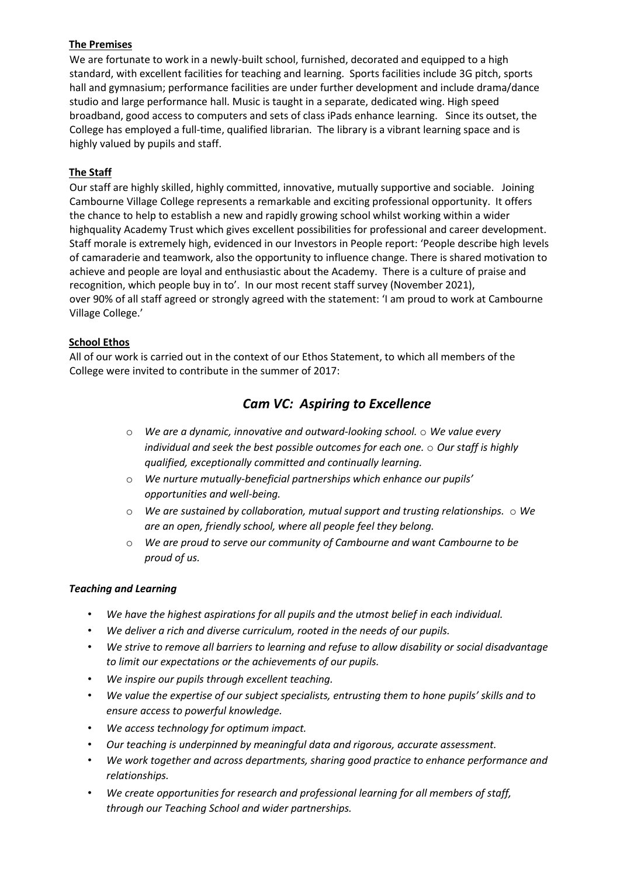#### **The Premises**

We are fortunate to work in a newly-built school, furnished, decorated and equipped to a high standard, with excellent facilities for teaching and learning. Sports facilities include 3G pitch, sports hall and gymnasium; performance facilities are under further development and include drama/dance studio and large performance hall. Music is taught in a separate, dedicated wing. High speed broadband, good access to computers and sets of class iPads enhance learning. Since its outset, the College has employed a full-time, qualified librarian. The library is a vibrant learning space and is highly valued by pupils and staff.

# **The Staff**

Our staff are highly skilled, highly committed, innovative, mutually supportive and sociable. Joining Cambourne Village College represents a remarkable and exciting professional opportunity. It offers the chance to help to establish a new and rapidly growing school whilst working within a wider highquality Academy Trust which gives excellent possibilities for professional and career development. Staff morale is extremely high, evidenced in our Investors in People report: 'People describe high levels of camaraderie and teamwork, also the opportunity to influence change. There is shared motivation to achieve and people are loyal and enthusiastic about the Academy. There is a culture of praise and recognition, which people buy in to'. In our most recent staff survey (November 2021), over 90% of all staff agreed or strongly agreed with the statement: 'I am proud to work at Cambourne Village College.'

### **School Ethos**

All of our work is carried out in the context of our Ethos Statement, to which all members of the College were invited to contribute in the summer of 2017:

# *Cam VC: Aspiring to Excellence*

- o *We are a dynamic, innovative and outward-looking school.* o *We value every individual and seek the best possible outcomes for each one.* o *Our staff is highly qualified, exceptionally committed and continually learning.*
- o *We nurture mutually-beneficial partnerships which enhance our pupils' opportunities and well-being.*
- o *We are sustained by collaboration, mutual support and trusting relationships.* o *We are an open, friendly school, where all people feel they belong.*
- o *We are proud to serve our community of Cambourne and want Cambourne to be proud of us.*

#### *Teaching and Learning*

- *We have the highest aspirations for all pupils and the utmost belief in each individual.*
- *We deliver a rich and diverse curriculum, rooted in the needs of our pupils.*
- *We strive to remove all barriers to learning and refuse to allow disability or social disadvantage to limit our expectations or the achievements of our pupils.*
- *We inspire our pupils through excellent teaching.*
- *We value the expertise of our subject specialists, entrusting them to hone pupils' skills and to ensure access to powerful knowledge.*
- *We access technology for optimum impact.*
- *Our teaching is underpinned by meaningful data and rigorous, accurate assessment.*
- *We work together and across departments, sharing good practice to enhance performance and relationships.*
- *We create opportunities for research and professional learning for all members of staff, through our Teaching School and wider partnerships.*